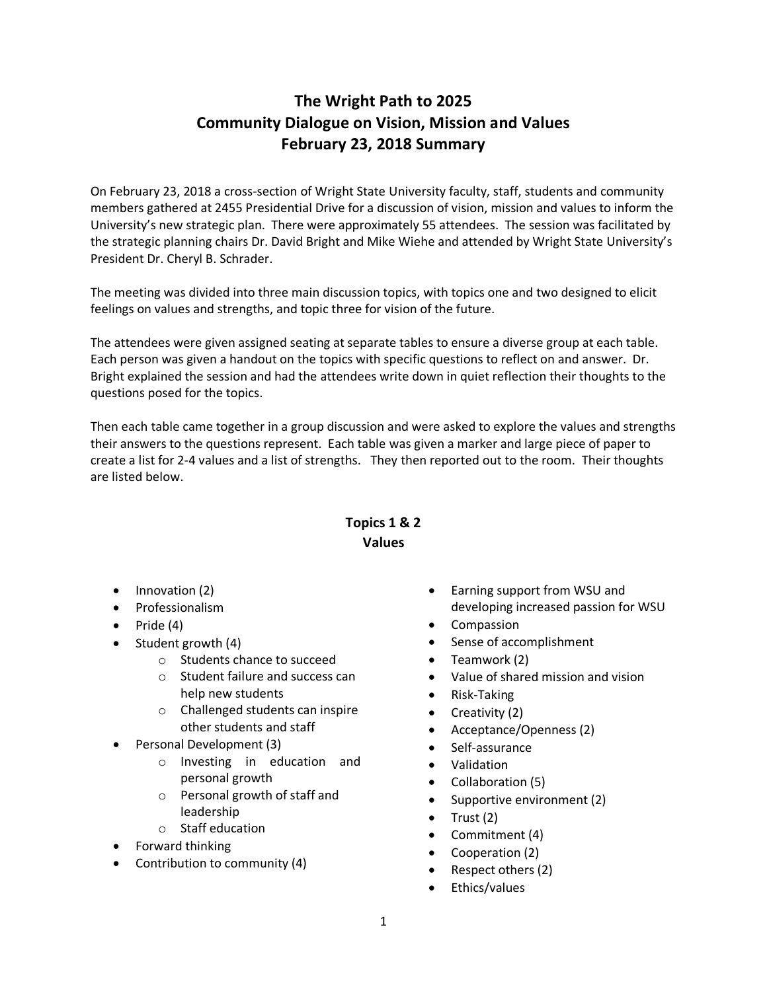## **The Wright Path to 2025 Community Dialogue on Vision, Mission and Values February 23, 2018 Summary**

On February 23, 2018 a cross-section of Wright State University faculty, staff, students and community members gathered at 2455 Presidential Drive for a discussion of vision, mission and values to inform the University's new strategic plan. There were approximately 55 attendees. The session was facilitated by the strategic planning chairs Dr. David Bright and Mike Wiehe and attended by Wright State University's President Dr. Cheryl B. Schrader.

The meeting was divided into three main discussion topics, with topics one and two designed to elicit feelings on values and strengths, and topic three for vision of the future.

The attendees were given assigned seating at separate tables to ensure a diverse group at each table. Each person was given a handout on the topics with specific questions to reflect on and answer. Dr. Bright explained the session and had the attendees write down in quiet reflection their thoughts to the questions posed for the topics.

Then each table came together in a group discussion and were asked to explore the values and strengths their answers to the questions represent. Each table was given a marker and large piece of paper to create a list for 2-4 values and a list of strengths. They then reported out to the room. Their thoughts are listed below.

## **Topics 1 & 2 Values**

- Innovation (2)
- Professionalism
- Pride (4)
- Student growth (4)
	- o Students chance to succeed
	- o Student failure and success can help new students
	- o Challenged students can inspire other students and staff
- Personal Development (3)
	- o Investing in education and personal growth
	- o Personal growth of staff and leadership
	- o Staff education
- Forward thinking
- Contribution to community (4)
- Earning support from WSU and developing increased passion for WSU
- **Compassion**
- Sense of accomplishment
- Teamwork (2)
- Value of shared mission and vision
- Risk-Taking
- Creativity (2)
- Acceptance/Openness (2)
- Self-assurance
- Validation
- Collaboration (5)
- Supportive environment (2)
- $\bullet$  Trust (2)
- Commitment (4)
- Cooperation (2)
- Respect others (2)
- Ethics/values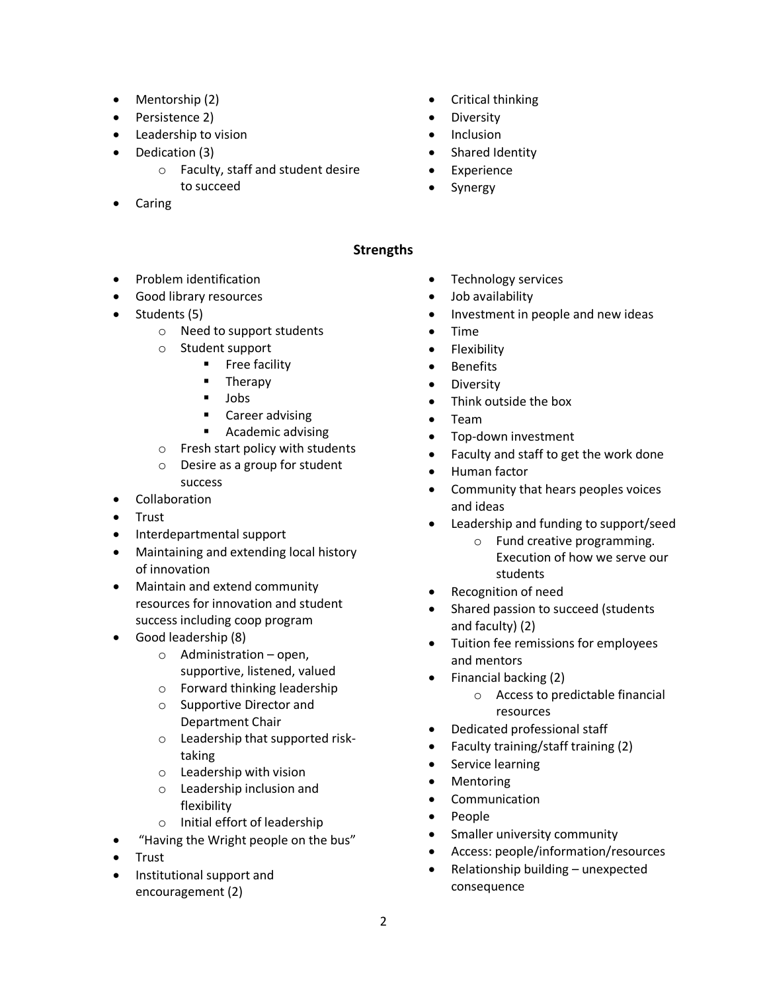- Mentorship (2)
- Persistence 2)
- Leadership to vision
- Dedication (3)
	- o Faculty, staff and student desire to succeed
- **Caring**
- Critical thinking
- Diversity
- Inclusion
- Shared Identity
- Experience
- **Synergy**

## **Strengths**

- Problem identification
- Good library resources
- Students (5)
	- o Need to support students
	- o Student support
		- **■** Free facility
			- Therapy
			- § Jobs
			- Career advising
			- Academic advising
	- o Fresh start policy with students
	- o Desire as a group for student success
- Collaboration
- Trust
- Interdepartmental support
- Maintaining and extending local history of innovation
- Maintain and extend community resources for innovation and student success including coop program
- Good leadership (8)
	- o Administration open, supportive, listened, valued
	- o Forward thinking leadership
	- o Supportive Director and Department Chair
	- o Leadership that supported risktaking
	- o Leadership with vision
	- o Leadership inclusion and flexibility
	- o Initial effort of leadership
- "Having the Wright people on the bus"
- Trust
- Institutional support and encouragement (2)
- Technology services
- Job availability
- Investment in people and new ideas
- Time
- Flexibility
- Benefits
- Diversity
- Think outside the box
- Team
- Top-down investment
- Faculty and staff to get the work done
- Human factor
- Community that hears peoples voices and ideas
- Leadership and funding to support/seed
	- o Fund creative programming. Execution of how we serve our students
- Recognition of need
- Shared passion to succeed (students and faculty) (2)
- Tuition fee remissions for employees and mentors
- Financial backing (2)
	- o Access to predictable financial resources
- Dedicated professional staff
- Faculty training/staff training (2)
- Service learning
- Mentoring
- Communication
- People
- Smaller university community
- Access: people/information/resources
- Relationship building unexpected consequence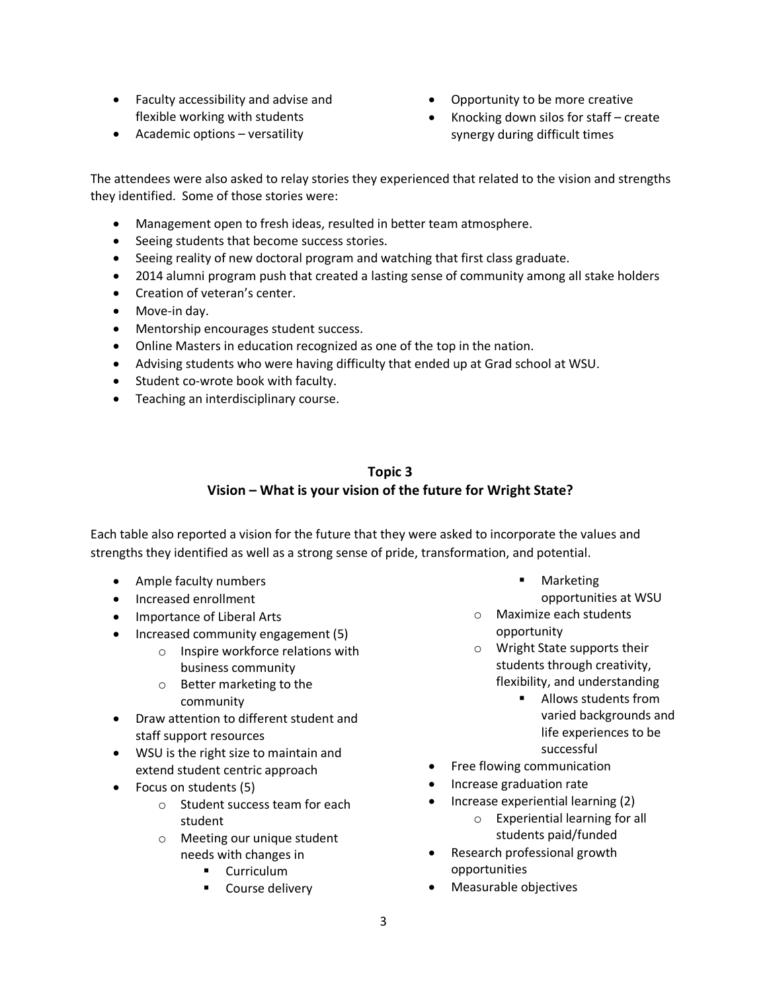- Faculty accessibility and advise and flexible working with students
- Academic options versatility
- Opportunity to be more creative
- Knocking down silos for staff create synergy during difficult times

The attendees were also asked to relay stories they experienced that related to the vision and strengths they identified. Some of those stories were:

- Management open to fresh ideas, resulted in better team atmosphere.
- Seeing students that become success stories.
- Seeing reality of new doctoral program and watching that first class graduate.
- 2014 alumni program push that created a lasting sense of community among all stake holders
- Creation of veteran's center.
- Move-in day.
- Mentorship encourages student success.
- Online Masters in education recognized as one of the top in the nation.
- Advising students who were having difficulty that ended up at Grad school at WSU.
- Student co-wrote book with faculty.
- Teaching an interdisciplinary course.

## **Topic 3 Vision – What is your vision of the future for Wright State?**

Each table also reported a vision for the future that they were asked to incorporate the values and strengths they identified as well as a strong sense of pride, transformation, and potential.

- Ample faculty numbers
- Increased enrollment
- Importance of Liberal Arts
- Increased community engagement (5)
	- o Inspire workforce relations with business community
	- o Better marketing to the community
- Draw attention to different student and staff support resources
- WSU is the right size to maintain and extend student centric approach
- Focus on students (5)
	- o Student success team for each student
	- o Meeting our unique student needs with changes in
		- Curriculum
		- Course delivery
- § Marketing
	- opportunities at WSU
- o Maximize each students opportunity
- o Wright State supports their students through creativity, flexibility, and understanding
	- Allows students from varied backgrounds and life experiences to be successful
- Free flowing communication
- Increase graduation rate
- Increase experiential learning (2) o Experiential learning for all students paid/funded
- Research professional growth opportunities
- Measurable objectives